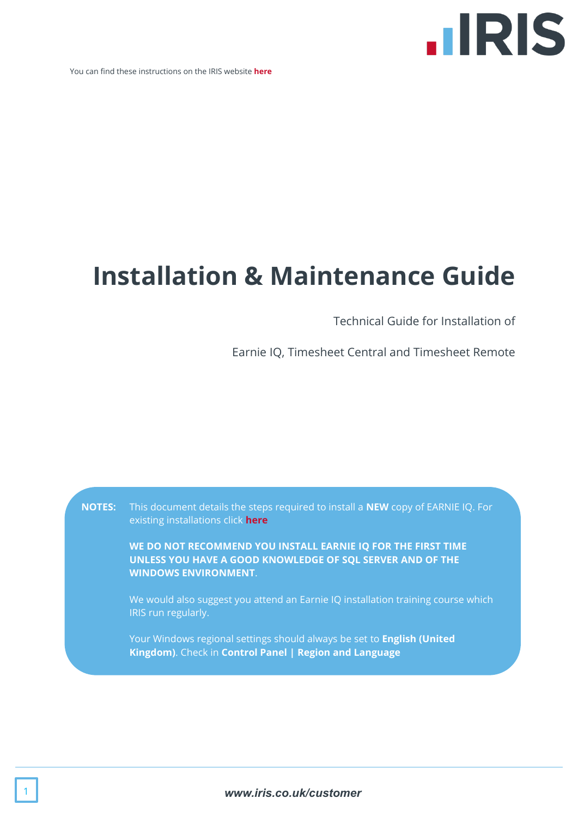

You can find these instructions on the IRIS website **[here](http://www.iris.co.uk/eiqni)**

## **Installation & Maintenance Guide**

Technical Guide for Installation of

Earnie IQ, Timesheet Central and Timesheet Remote

**NOTES:** This document details the steps required to install a **NEW** copy of EARNIE IQ. For existing installations click **[here](http://www.iris.co.uk/eiqui) WE DO NOT RECOMMEND YOU INSTALL EARNIE IQ FOR THE FIRST TIME UNLESS YOU HAVE A GOOD KNOWLEDGE OF SQL SERVER AND OF THE WINDOWS ENVIRONMENT**. We would also suggest you attend an Earnie IQ installation training course which IRIS run regularly.

> Your Windows regional settings should always be set to **English (United Kingdom)**. Check in **Control Panel | Region and Language**

> > 1 *www.iris.co.uk/customer*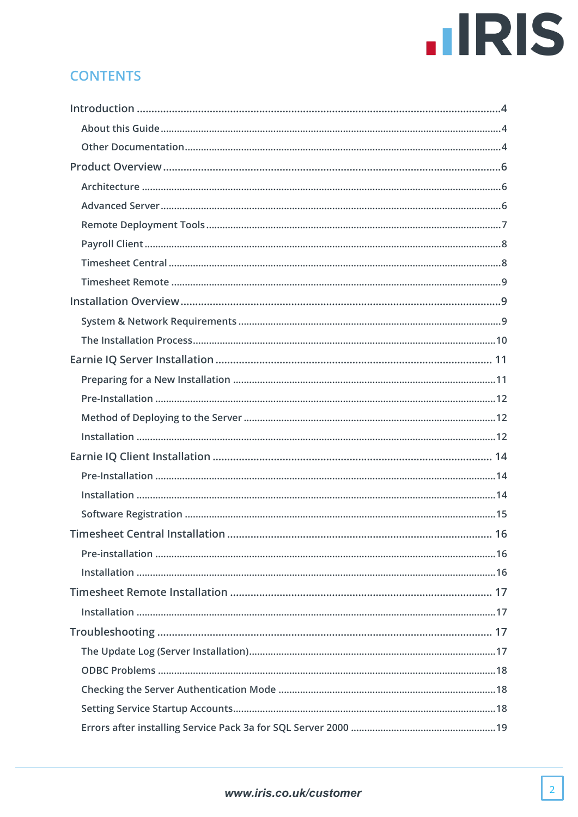## **IIRIS**

## **CONTENTS**

| Timesheet Central Installation.<br>16 |
|---------------------------------------|
|                                       |
|                                       |
|                                       |
|                                       |
|                                       |
|                                       |
|                                       |
|                                       |
|                                       |
|                                       |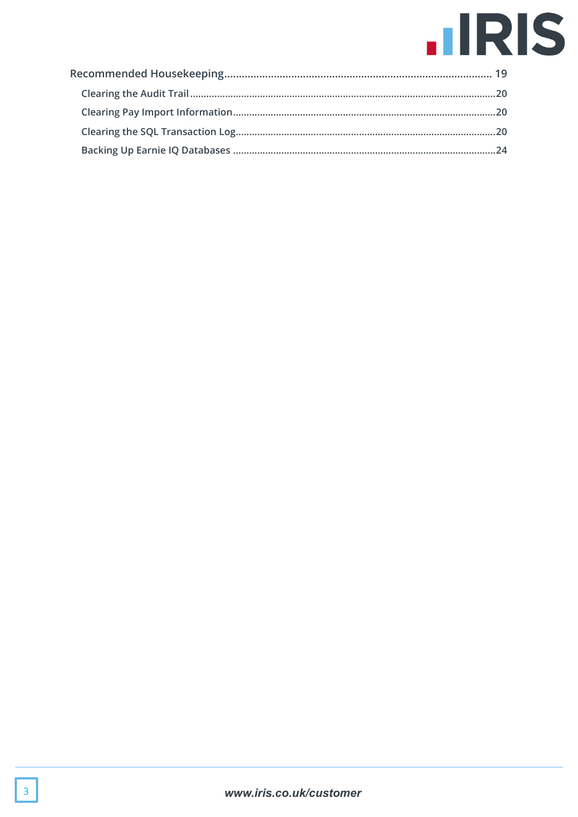## **IIRIS**

<span id="page-2-0"></span>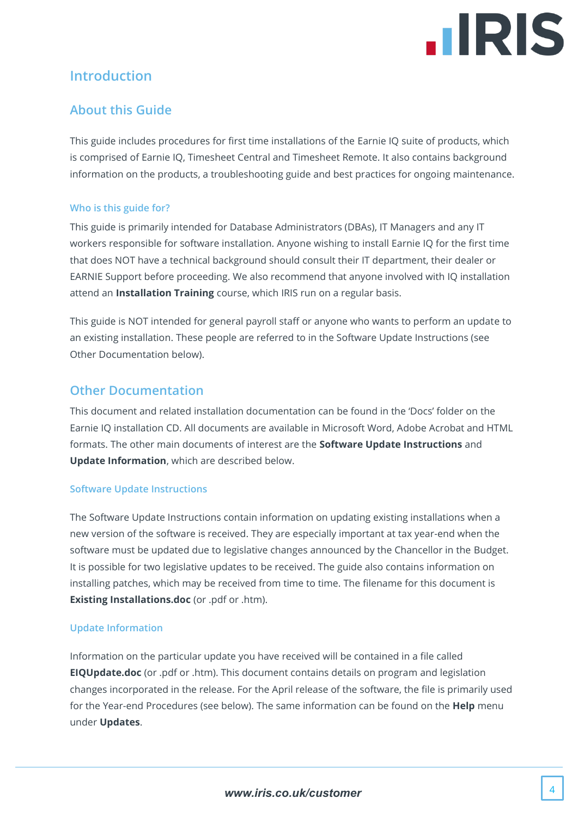

## **Introduction**

## <span id="page-3-0"></span>**About this Guide**

This guide includes procedures for first time installations of the Earnie IQ suite of products, which is comprised of Earnie IQ, Timesheet Central and Timesheet Remote. It also contains background information on the products, a troubleshooting guide and best practices for ongoing maintenance.

#### **Who is this guide for?**

This guide is primarily intended for Database Administrators (DBAs), IT Managers and any IT workers responsible for software installation. Anyone wishing to install Earnie IQ for the first time that does NOT have a technical background should consult their IT department, their dealer or EARNIE Support before proceeding. We also recommend that anyone involved with IQ installation attend an **Installation Training** course, which IRIS run on a regular basis.

This guide is NOT intended for general payroll staff or anyone who wants to perform an update to an existing installation. These people are referred to in the Software Update Instructions (see [Other Documentation](#page-3-1) below).

#### <span id="page-3-1"></span>**Other Documentation**

This document and related installation documentation can be found in the 'Docs' folder on the Earnie IQ installation CD. All documents are available in Microsoft Word, Adobe Acrobat and HTML formats. The other main documents of interest are the **Software Update Instructions** and **Update Information**, which are described below.

#### **Software Update Instructions**

The Software Update Instructions contain information on updating existing installations when a new version of the software is received. They are especially important at tax year-end when the software must be updated due to legislative changes announced by the Chancellor in the Budget. It is possible for two legislative updates to be received. The guide also contains information on installing patches, which may be received from time to time. The filename for this document is **Existing Installations.doc** (or .pdf or .htm).

#### **Update Information**

Information on the particular update you have received will be contained in a file called **EIQUpdate.doc** (or .pdf or .htm). This document contains details on program and legislation changes incorporated in the release. For the April release of the software, the file is primarily used for the Year-end Procedures (see below). The same information can be found on the **Help** menu under **Updates**.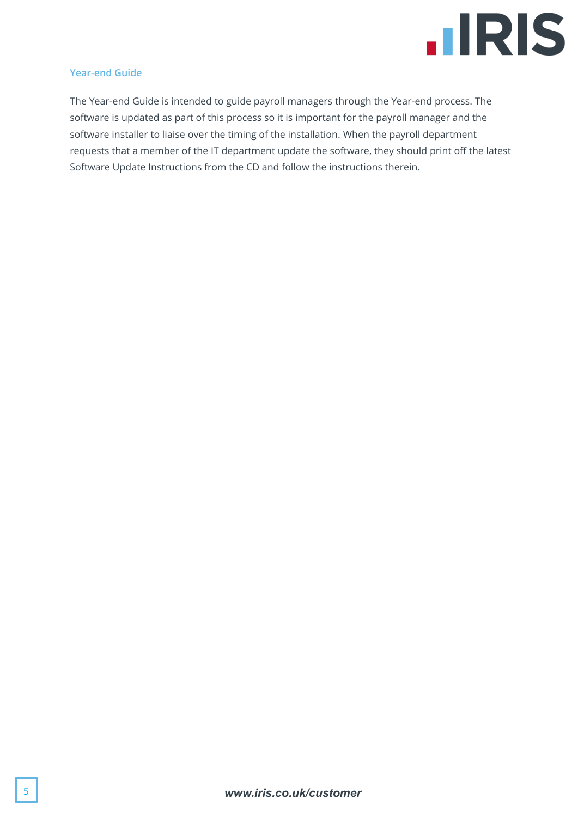

#### **Year-end Guide**

The Year-end Guide is intended to guide payroll managers through the Year-end process. The software is updated as part of this process so it is important for the payroll manager and the software installer to liaise over the timing of the installation. When the payroll department requests that a member of the IT department update the software, they should print off the latest Software Update Instructions from the CD and follow the instructions therein.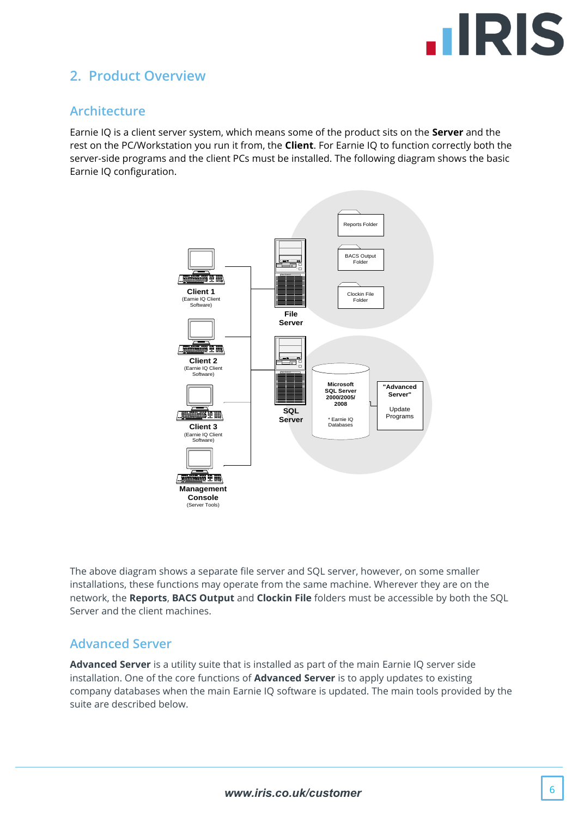

## <span id="page-5-0"></span>**2. Product Overview**

### <span id="page-5-1"></span>**Architecture**

Earnie IQ is a client server system, which means some of the product sits on the **Server** and the rest on the PC/Workstation you run it from, the **Client**. For Earnie IQ to function correctly both the server-side programs and the client PCs must be installed. The following diagram shows the basic Earnie IQ configuration.



The above diagram shows a separate file server and SQL server, however, on some smaller installations, these functions may operate from the same machine. Wherever they are on the network, the **Reports**, **BACS Output** and **Clockin File** folders must be accessible by both the SQL Server and the client machines.

#### <span id="page-5-2"></span>**Advanced Server**

**Advanced Server** is a utility suite that is installed as part of the main Earnie IQ server side installation. One of the core functions of **Advanced Server** is to apply updates to existing company databases when the main Earnie IQ software is updated. The main tools provided by the suite are described below.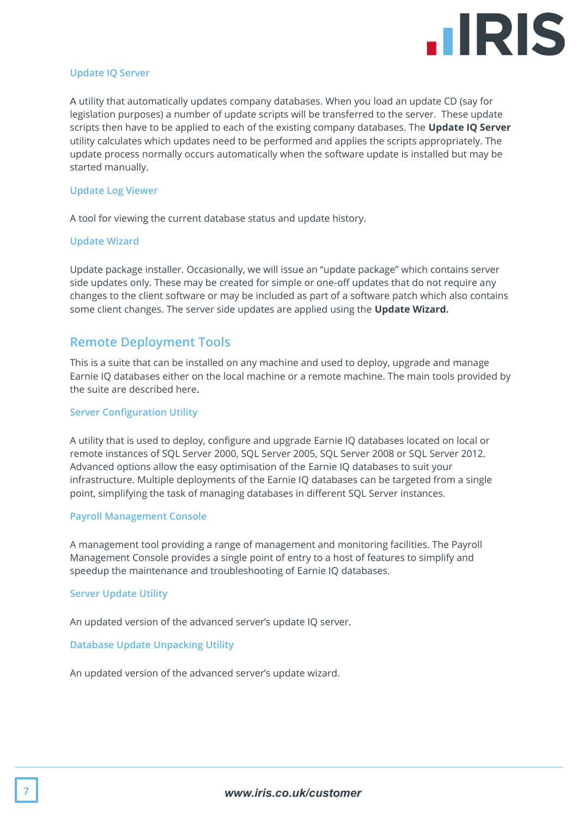

#### **Update IQ Server**

A utility that automatically updates company databases. When you load an update CD (say for legislation purposes) a number of update scripts will be transferred to the server. These update scripts then have to be applied to each of the existing company databases. The **Update IQ Server** utility calculates which updates need to be performed and applies the scripts appropriately. The update process normally occurs automatically when the software update is installed but may be started manually.

#### **Update Log Viewer**

A tool for viewing the current database status and update history.

#### **Update Wizard**

Update package installer. Occasionally, we will issue an "update package" which contains server side updates only. These may be created for simple or one-off updates that do not require any changes to the client software or may be included as part of a software patch which also contains some client changes. The server side updates are applied using the **Update Wizard.**

#### <span id="page-6-0"></span>**Remote Deployment Tools**

This is a suite that can be installed on any machine and used to deploy, upgrade and manage Earnie IQ databases either on the local machine or a remote machine. The main tools provided by the suite are described here.

#### **Server Configuration Utility**

A utility that is used to deploy, configure and upgrade Earnie IQ databases located on local or remote instances of SQL Server 2000, SQL Server 2005, SQL Server 2008 or SQL Server 2012. Advanced options allow the easy optimisation of the Earnie IQ databases to suit your infrastructure. Multiple deployments of the Earnie IQ databases can be targeted from a single point, simplifying the task of managing databases in different SQL Server instances.

#### **Payroll Management Console**

A management tool providing a range of management and monitoring facilities. The Payroll Management Console provides a single point of entry to a host of features to simplify and speedup the maintenance and troubleshooting of Earnie IQ databases.

#### **Server Update Utility**

An updated version of the advanced server's update IQ server.

#### **Database Update Unpacking Utility**

An updated version of the advanced server's update wizard.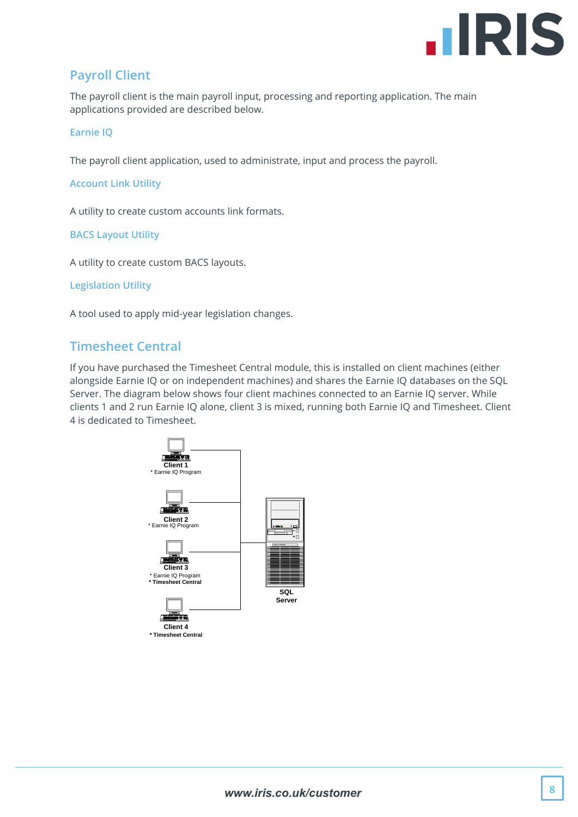

## <span id="page-7-0"></span>**Payroll Client**

The payroll client is the main payroll input, processing and reporting application. The main applications provided are described below.

#### **Earnie IQ**

The payroll client application, used to administrate, input and process the payroll.

**Account Link Utility**

A utility to create custom accounts link formats.

#### **BACS Layout Utility**

A utility to create custom BACS layouts.

**Legislation Utility**

<span id="page-7-1"></span>A tool used to apply mid-year legislation changes.

#### **Timesheet Central**

If you have purchased the Timesheet Central module, this is installed on client machines (either alongside Earnie IQ or on independent machines) and shares the Earnie IQ databases on the SQL Server. The diagram below shows four client machines connected to an Earnie IQ server. While clients 1 and 2 run Earnie IQ alone, client 3 is mixed, running both Earnie IQ and Timesheet. Client 4 is dedicated to Timesheet.

<span id="page-7-2"></span>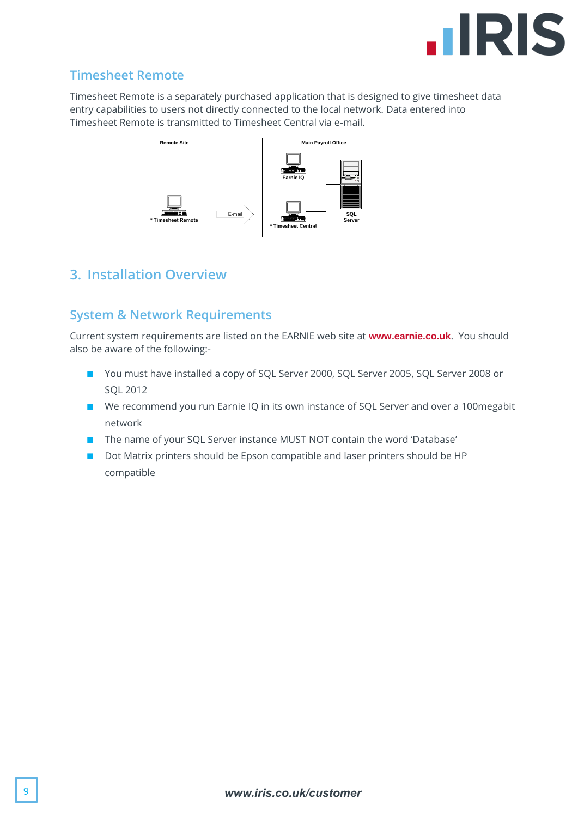

## **Timesheet Remote**

Timesheet Remote is a separately purchased application that is designed to give timesheet data entry capabilities to users not directly connected to the local network. Data entered into Timesheet Remote is transmitted to Timesheet Central via e-mail.



## <span id="page-8-0"></span>**3. Installation Overview**

## <span id="page-8-1"></span>**System & Network Requirements**

Current system requirements are listed on the EARNIE web site at **[www.earnie.co.uk](http://www.earnie.co.uk/)**. You should also be aware of the following:-

- You must have installed a copy of SQL Server 2000, SQL Server 2005, SQL Server 2008 or SQL 2012
- We recommend you run Earnie IQ in its own instance of SQL Server and over a 100 megabit network
- The name of your SQL Server instance MUST NOT contain the word 'Database'
- <span id="page-8-2"></span>■ Dot Matrix printers should be Epson compatible and laser printers should be HP compatible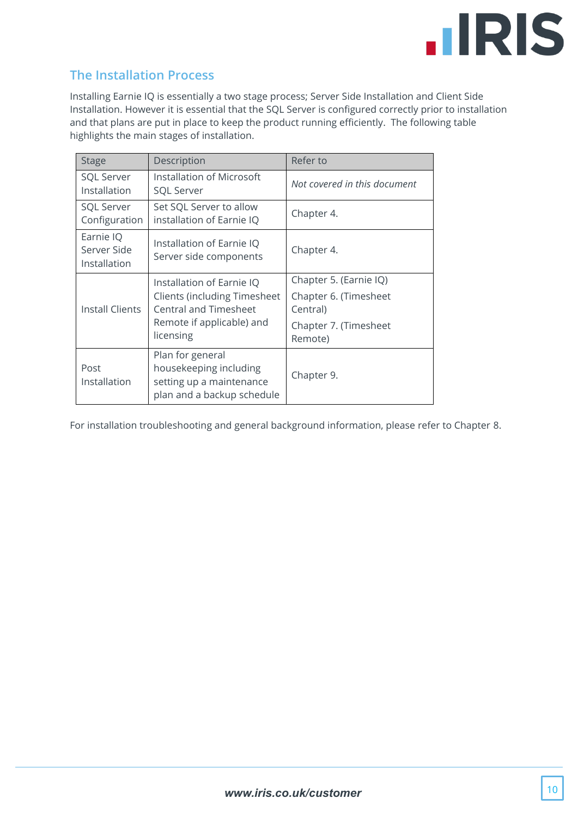

## **The Installation Process**

Installing Earnie IQ is essentially a two stage process; Server Side Installation and Client Side Installation. However it is essential that the SQL Server is configured correctly prior to installation and that plans are put in place to keep the product running efficiently. The following table highlights the main stages of installation.

| <b>Stage</b>                             | Description                                                                                          | Refer to                          |
|------------------------------------------|------------------------------------------------------------------------------------------------------|-----------------------------------|
| <b>SQL Server</b><br>Installation        | Installation of Microsoft<br><b>SQL Server</b>                                                       | Not covered in this document      |
| <b>SQL Server</b><br>Configuration       | Set SQL Server to allow<br>installation of Earnie IQ                                                 | Chapter 4.                        |
| Earnie IQ<br>Server Side<br>Installation | Installation of Earnie IQ<br>Server side components                                                  | Chapter 4.                        |
|                                          | Installation of Earnie IQ                                                                            | Chapter 5. (Earnie IQ)            |
| <b>Install Clients</b>                   | <b>Clients (including Timesheet</b><br><b>Central and Timesheet</b>                                  | Chapter 6. (Timesheet<br>Central) |
|                                          | Remote if applicable) and<br>licensing                                                               | Chapter 7. (Timesheet<br>Remote)  |
| Post<br>Installation                     | Plan for general<br>housekeeping including<br>setting up a maintenance<br>plan and a backup schedule | Chapter 9.                        |

For installation troubleshooting and general background information, please refer to Chapter [8.](#page-16-2)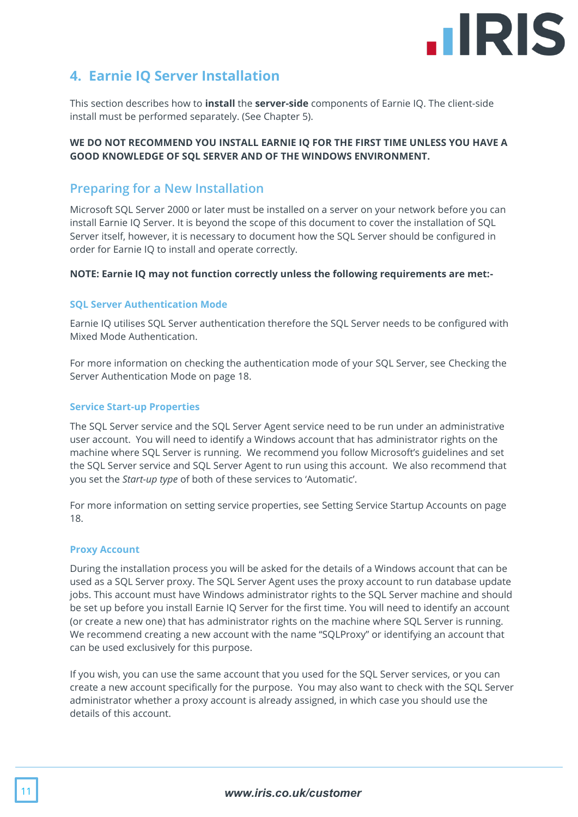

## <span id="page-10-0"></span>**4. Earnie IQ Server Installation**

This section describes how to **install** the **server-side** components of Earnie IQ. The client-side install must be performed separately. (See Chapter 5).

#### **WE DO NOT RECOMMEND YOU INSTALL EARNIE IQ FOR THE FIRST TIME UNLESS YOU HAVE A GOOD KNOWLEDGE OF SQL SERVER AND OF THE WINDOWS ENVIRONMENT.**

#### <span id="page-10-1"></span>**Preparing for a New Installation**

Microsoft SQL Server 2000 or later must be installed on a server on your network before you can install Earnie IQ Server. It is beyond the scope of this document to cover the installation of SQL Server itself, however, it is necessary to document how the SQL Server should be configured in order for Earnie IQ to install and operate correctly.

#### **NOTE: Earnie IQ may not function correctly unless the following requirements are met:-**

#### **SQL Server Authentication Mode**

Earnie IQ utilises SQL Server authentication therefore the SQL Server needs to be configured with Mixed Mode Authentication.

For more information on checking the authentication mode of your SQL Server, see [Checking the](#page-17-1)  [Server Authentication](#page-17-1) Mode on page [18.](#page-17-1)

#### **Service Start-up Properties**

The SQL Server service and the SQL Server Agent service need to be run under an administrative user account. You will need to identify a Windows account that has administrator rights on the machine where SQL Server is running. We recommend you follow Microsoft's guidelines and set the SQL Server service and SQL Server Agent to run using this account. We also recommend that you set the *Start-up type* of both of these services to 'Automatic'.

For more information on setting service properties, see [Setting Service Startup Accounts](#page-17-2) on page [18.](#page-17-2)

#### **Proxy Account**

During the installation process you will be asked for the details of a Windows account that can be used as a SQL Server proxy. The SQL Server Agent uses the proxy account to run database update jobs. This account must have Windows administrator rights to the SQL Server machine and should be set up before you install Earnie IQ Server for the first time. You will need to identify an account (or create a new one) that has administrator rights on the machine where SQL Server is running. We recommend creating a new account with the name "SQLProxy" or identifying an account that can be used exclusively for this purpose.

If you wish, you can use the same account that you used for the SQL Server services, or you can create a new account specifically for the purpose. You may also want to check with the SQL Server administrator whether a proxy account is already assigned, in which case you should use the details of this account.

#### 11 *www.iris.co.uk/customer*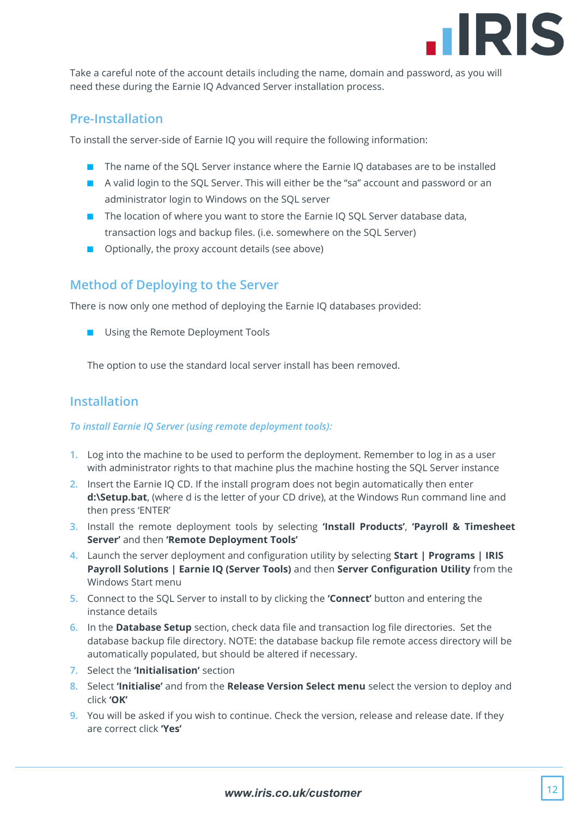

Take a careful note of the account details including the name, domain and password, as you will need these during the Earnie IQ Advanced Server installation process.

#### <span id="page-11-0"></span>**Pre-Installation**

To install the server-side of Earnie IQ you will require the following information:

- The name of the SQL Server instance where the Earnie IQ databases are to be installed
- A valid login to the SQL Server. This will either be the "sa" account and password or an administrator login to Windows on the SQL server
- The location of where you want to store the Earnie IQ SQL Server database data, transaction logs and backup files. (i.e. somewhere on the SQL Server)
- Optionally, the proxy account details (see above)

## <span id="page-11-1"></span>**Method of Deploying to the Server**

There is now only one method of deploying the Earnie IQ databases provided:

■ Using the Remote Deployment Tools

The option to use the standard local server install has been removed.

## <span id="page-11-2"></span>**Installation**

#### *To install Earnie IQ Server (using remote deployment tools):*

- **1.** Log into the machine to be used to perform the deployment. Remember to log in as a user with administrator rights to that machine plus the machine hosting the SQL Server instance
- **2.** Insert the Earnie IQ CD. If the install program does not begin automatically then enter **d:\Setup.bat**, (where d is the letter of your CD drive), at the Windows Run command line and then press 'ENTER'
- **3.** Install the remote deployment tools by selecting **'Install Products'**, **'Payroll & Timesheet Server'** and then **'Remote Deployment Tools'**
- **4.** Launch the server deployment and configuration utility by selecting **Start | Programs | IRIS Payroll Solutions | Earnie IQ (Server Tools)** and then **Server Configuration Utility** from the Windows Start menu
- **5.** Connect to the SQL Server to install to by clicking the **'Connect'** button and entering the instance details
- **6.** In the **Database Setup** section, check data file and transaction log file directories. Set the database backup file directory. NOTE: the database backup file remote access directory will be automatically populated, but should be altered if necessary.
- **7.** Select the **'Initialisation'** section
- **8.** Select **'Initialise'** and from the **Release Version Select menu** select the version to deploy and click **'OK'**
- **9.** You will be asked if you wish to continue. Check the version, release and release date. If they are correct click **'Yes'**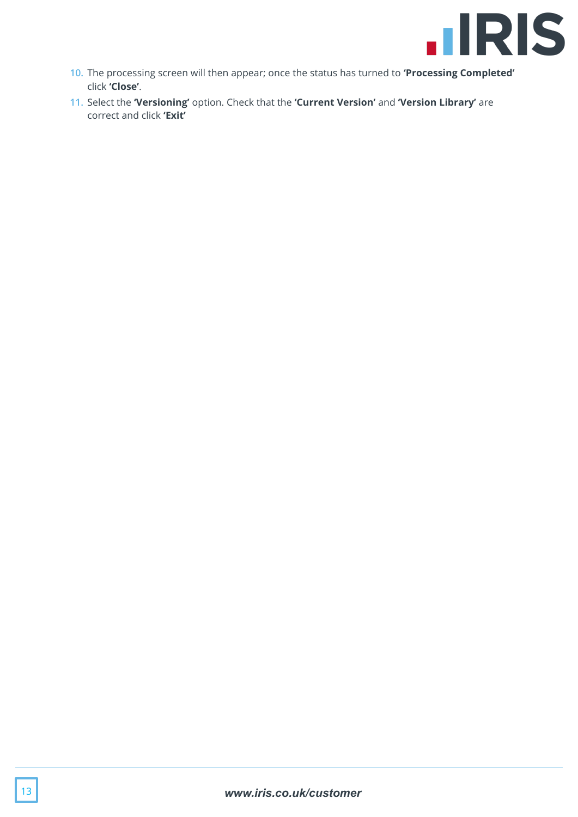

- **10.** The processing screen will then appear; once the status has turned to **'Processing Completed'** click **'Close'**.
- **11.** Select the **'Versioning'** option. Check that the **'Current Version'** and **'Version Library'** are correct and click **'Exit'**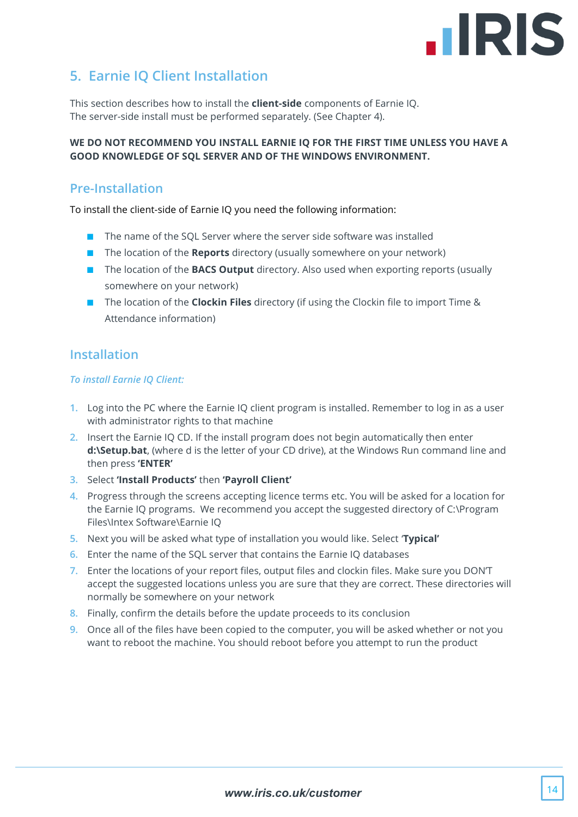

## <span id="page-13-0"></span>**5. Earnie IQ Client Installation**

This section describes how to install the **client-side** components of Earnie IQ. The server-side install must be performed separately. (See Chapter 4).

#### **WE DO NOT RECOMMEND YOU INSTALL EARNIE IQ FOR THE FIRST TIME UNLESS YOU HAVE A GOOD KNOWLEDGE OF SQL SERVER AND OF THE WINDOWS ENVIRONMENT.**

### <span id="page-13-1"></span>**Pre-Installation**

To install the client-side of Earnie IQ you need the following information:

- The name of the SQL Server where the server side software was installed
- The location of the **Reports** directory (usually somewhere on your network)
- The location of the **BACS Output** directory. Also used when exporting reports (usually somewhere on your network)
- The location of the **Clockin Files** directory (if using the Clockin file to import Time & Attendance information)

## <span id="page-13-2"></span>**Installation**

#### *To install Earnie IQ Client:*

- **1.** Log into the PC where the Earnie IQ client program is installed. Remember to log in as a user with administrator rights to that machine
- **2.** Insert the Earnie IQ CD. If the install program does not begin automatically then enter **d:\Setup.bat**, (where d is the letter of your CD drive), at the Windows Run command line and then press **'ENTER'**
- **3.** Select **'Install Products'** then **'Payroll Client'**
- **4.** Progress through the screens accepting licence terms etc. You will be asked for a location for the Earnie IQ programs. We recommend you accept the suggested directory of C:\Program Files\Intex Software\Earnie IQ
- **5.** Next you will be asked what type of installation you would like. Select '**Typical'**
- **6.** Enter the name of the SQL server that contains the Earnie IQ databases
- **7.** Enter the locations of your report files, output files and clockin files. Make sure you DON'T accept the suggested locations unless you are sure that they are correct. These directories will normally be somewhere on your network
- **8.** Finally, confirm the details before the update proceeds to its conclusion
- **9.** Once all of the files have been copied to the computer, you will be asked whether or not you want to reboot the machine. You should reboot before you attempt to run the product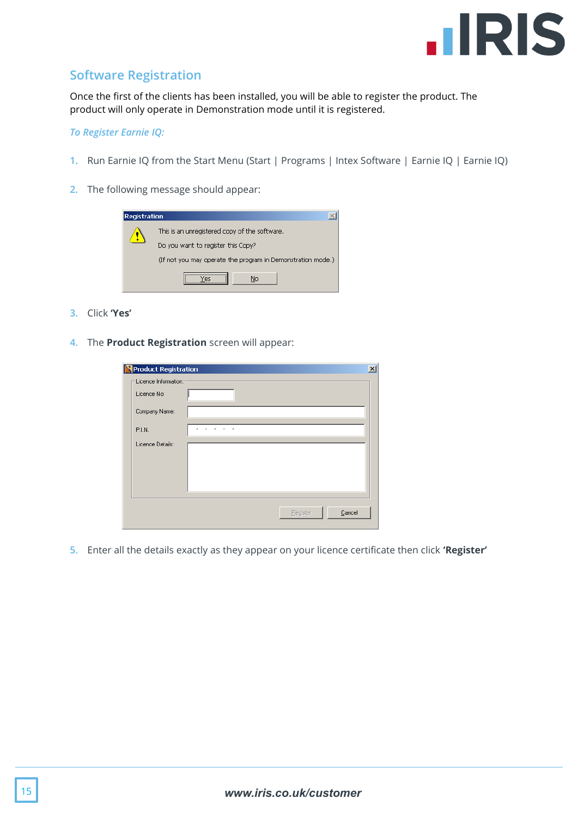

## <span id="page-14-0"></span>**Software Registration**

Once the first of the clients has been installed, you will be able to register the product. The product will only operate in Demonstration mode until it is registered.

#### *To Register Earnie IQ:*

- **1.** Run Earnie IQ from the Start Menu (Start | Programs | Intex Software | Earnie IQ | Earnie IQ)
- **2.** The following message should appear:

| <b>Registration</b> |                                                             |
|---------------------|-------------------------------------------------------------|
|                     | This is an unregistered copy of the software.               |
|                     | Do you want to register this Copy?                          |
|                     | (If not you may operate the program in Demonstration mode.) |
|                     | Nο                                                          |

- **3.** Click **'Yes'**
- **4.** The **Product Registration** screen will appear:

| <b>Product Registration</b> |                    | $\vert x \vert$ |
|-----------------------------|--------------------|-----------------|
| Licence Information:        |                    |                 |
| Licence No:                 |                    |                 |
| Company Name:               |                    |                 |
| P.I.N.                      |                    |                 |
| Licence Details:            |                    |                 |
|                             |                    |                 |
|                             |                    |                 |
|                             |                    |                 |
|                             | Cancel<br>Begister |                 |

**5.** Enter all the details exactly as they appear on your licence certificate then click **'Register'**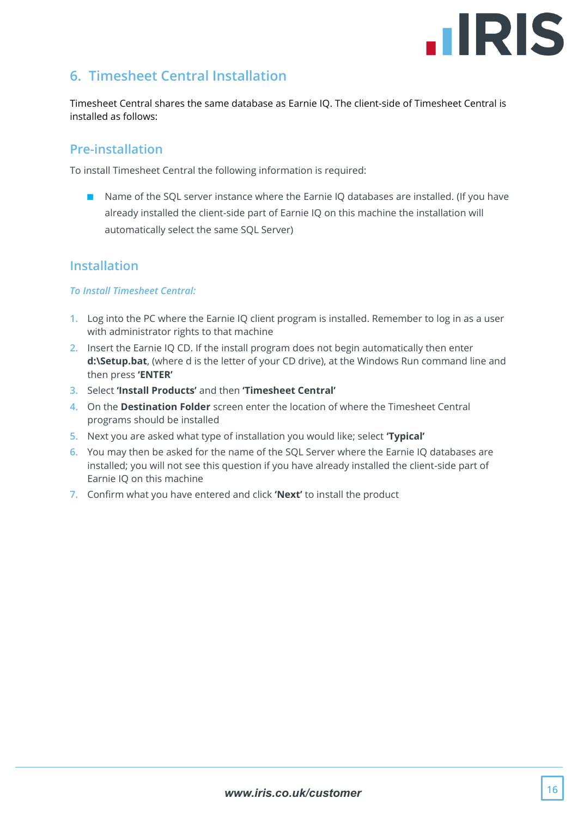

## <span id="page-15-0"></span>**6. Timesheet Central Installation**

Timesheet Central shares the same database as Earnie IQ. The client-side of Timesheet Central is installed as follows:

#### <span id="page-15-1"></span>**Pre-installation**

To install Timesheet Central the following information is required:

■ Name of the SQL server instance where the Earnie IQ databases are installed. (If you have already installed the client-side part of Earnie IQ on this machine the installation will automatically select the same SQL Server)

## <span id="page-15-2"></span>**Installation**

#### *To Install Timesheet Central:*

- **1.** Log into the PC where the Earnie IQ client program is installed. Remember to log in as a user with administrator rights to that machine
- **2.** Insert the Earnie IQ CD. If the install program does not begin automatically then enter **d:\Setup.bat**, (where d is the letter of your CD drive), at the Windows Run command line and then press **'ENTER'**
- **3.** Select **'Install Products'** and then **'Timesheet Central'**
- **4.** On the **Destination Folder** screen enter the location of where the Timesheet Central programs should be installed
- **5.** Next you are asked what type of installation you would like; select **'Typical'**
- **6.** You may then be asked for the name of the SQL Server where the Earnie IQ databases are installed; you will not see this question if you have already installed the client-side part of Earnie IQ on this machine
- **7.** Confirm what you have entered and click **'Next'** to install the product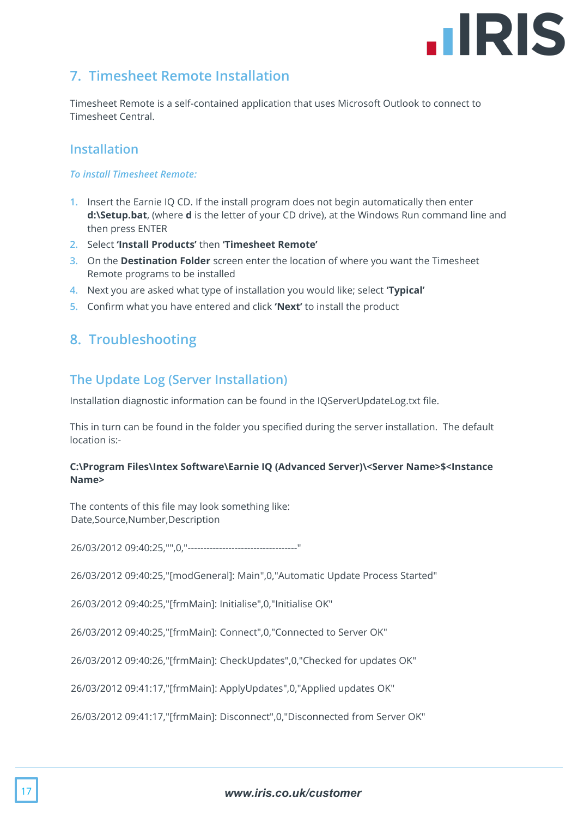## **.IRIS**

## <span id="page-16-0"></span>**7. Timesheet Remote Installation**

Timesheet Remote is a self-contained application that uses Microsoft Outlook to connect to Timesheet Central.

## <span id="page-16-1"></span>**Installation**

#### *To install Timesheet Remote:*

- **1.** Insert the Earnie IQ CD. If the install program does not begin automatically then enter **d:\Setup.bat**, (where **d** is the letter of your CD drive), at the Windows Run command line and then press ENTER
- **2.** Select **'Install Products'** then **'Timesheet Remote'**
- **3.** On the **Destination Folder** screen enter the location of where you want the Timesheet Remote programs to be installed
- **4.** Next you are asked what type of installation you would like; select **'Typical'**
- <span id="page-16-2"></span>**5.** Confirm what you have entered and click **'Next'** to install the product

## **8. Troubleshooting**

## <span id="page-16-3"></span>**The Update Log (Server Installation)**

Installation diagnostic information can be found in the IQServerUpdateLog.txt file.

This in turn can be found in the folder you specified during the server installation. The default location is:-

#### **C:\Program Files\Intex Software\Earnie IQ (Advanced Server)\<Server Name>\$<Instance Name>**

The contents of this file may look something like: Date,Source,Number,Description

26/03/2012 09:40:25,"",0,"-----------------------------------"

26/03/2012 09:40:25,"[modGeneral]: Main",0,"Automatic Update Process Started"

26/03/2012 09:40:25,"[frmMain]: Initialise",0,"Initialise OK"

26/03/2012 09:40:25,"[frmMain]: Connect",0,"Connected to Server OK"

26/03/2012 09:40:26,"[frmMain]: CheckUpdates",0,"Checked for updates OK"

26/03/2012 09:41:17,"[frmMain]: ApplyUpdates",0,"Applied updates OK"

26/03/2012 09:41:17,"[frmMain]: Disconnect",0,"Disconnected from Server OK"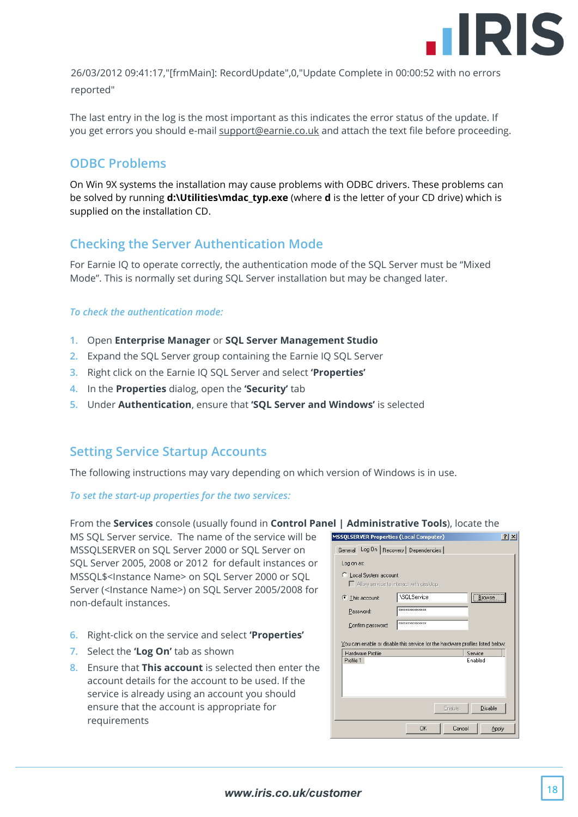

26/03/2012 09:41:17,"[frmMain]: RecordUpdate",0,"Update Complete in 00:00:52 with no errors reported"

The last entry in the log is the most important as this indicates the error status of the update. If you get errors you should e-mail [support@earnie.co.uk](mailto:support@earnie.co.uk) and attach the text file before proceeding.

## <span id="page-17-0"></span>**ODBC Problems**

On Win 9X systems the installation may cause problems with ODBC drivers. These problems can be solved by running **d:\Utilities\mdac\_typ.exe** (where **d** is the letter of your CD drive) which is supplied on the installation CD.

## <span id="page-17-1"></span>**Checking the Server Authentication Mode**

For Earnie IQ to operate correctly, the authentication mode of the SQL Server must be "Mixed Mode". This is normally set during SQL Server installation but may be changed later.

#### *To check the authentication mode:*

- **1.** Open **Enterprise Manager** or **SQL Server Management Studio**
- **2.** Expand the SQL Server group containing the Earnie IQ SQL Server
- **3.** Right click on the Earnie IQ SQL Server and select **'Properties'**
- **4.** In the **Properties** dialog, open the **'Security'** tab
- **5.** Under **Authentication**, ensure that **'SQL Server and Windows'** is selected

#### <span id="page-17-2"></span>**Setting Service Startup Accounts**

The following instructions may vary depending on which version of Windows is in use.

*To set the start-up properties for the two services:*

From the **Services** console (usually found in **Control Panel | Administrative Tools**), locate the

MS SQL Server service. The name of the service will be MSSQLSERVER on SQL Server 2000 or SQL Server on SQL Server 2005, 2008 or 2012 for default instances or MSSQL\$<Instance Name> on SQL Server 2000 or SQL Server (<Instance Name>) on SOL Server 2005/2008 for non-default instances.

- **6.** Right-click on the service and select **'Properties'**
- **7.** Select the **'Log On'** tab as shown
- **8.** Ensure that **This account** is selected then enter the account details for the account to be used. If the service is already using an account you should ensure that the account is appropriate for requirements

|                        | <b>MSSQLSERVER Properties (Local Computer)</b><br> ? x                         |
|------------------------|--------------------------------------------------------------------------------|
| General                | Log On   Recovery   Dependencies                                               |
| Log on as:             |                                                                                |
|                        |                                                                                |
| C Local System account | Allow service to interact with desktop                                         |
|                        |                                                                                |
| This account:          | <b>\SQLService</b><br>Browse.                                                  |
| Password:              | ***************                                                                |
| Confirm password:      | ***************                                                                |
|                        |                                                                                |
|                        | You can enable or disable this service for the hardware profiles listed below: |
| Hardware Profile       | Service                                                                        |
| Profile 1              | Enabled                                                                        |
|                        |                                                                                |
|                        |                                                                                |
|                        |                                                                                |
|                        |                                                                                |
|                        |                                                                                |
|                        | Enable<br>Disable                                                              |
|                        | <b>OK</b><br>Cancel<br>Apply                                                   |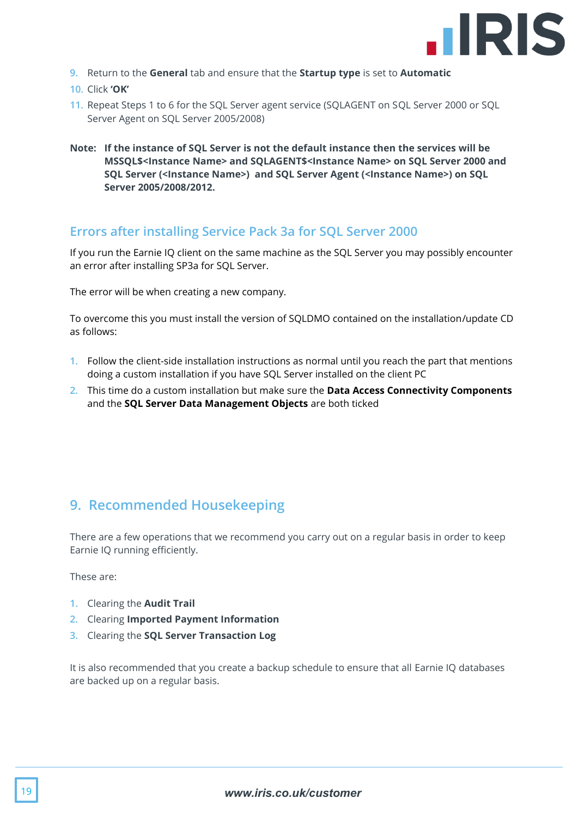

- **9.** Return to the **General** tab and ensure that the **Startup type** is set to **Automatic**
- **10.** Click **'OK'**
- **11.** Repeat Steps 1 to 6 for the SQL Server agent service (SQLAGENT on SQL Server 2000 or SQL Server Agent on SQL Server 2005/2008)
- **Note: If the instance of SQL Server is not the default instance then the services will be MSSQL\$<Instance Name> and SQLAGENT\$<Instance Name> on SQL Server 2000 and SQL Server (<Instance Name>) and SQL Server Agent (<Instance Name>) on SQL Server 2005/2008/2012.**

#### <span id="page-18-0"></span>**Errors after installing Service Pack 3a for SQL Server 2000**

If you run the Earnie IQ client on the same machine as the SQL Server you may possibly encounter an error after installing SP3a for SQL Server.

The error will be when creating a new company.

To overcome this you must install the version of SQLDMO contained on the installation/update CD as follows:

- **1.** Follow the client-side installation instructions as normal until you reach the part that mentions doing a custom installation if you have SQL Server installed on the client PC
- **2.** This time do a custom installation but make sure the **Data Access Connectivity Components**  and the **SQL Server Data Management Objects** are both ticked

## <span id="page-18-1"></span>**9. Recommended Housekeeping**

There are a few operations that we recommend you carry out on a regular basis in order to keep Earnie IQ running efficiently.

These are:

- **1.** Clearing the **Audit Trail**
- **2.** Clearing **Imported Payment Information**
- **3.** Clearing the **SQL Server Transaction Log**

It is also recommended that you create a backup schedule to ensure that all Earnie IQ databases are backed up on a regular basis.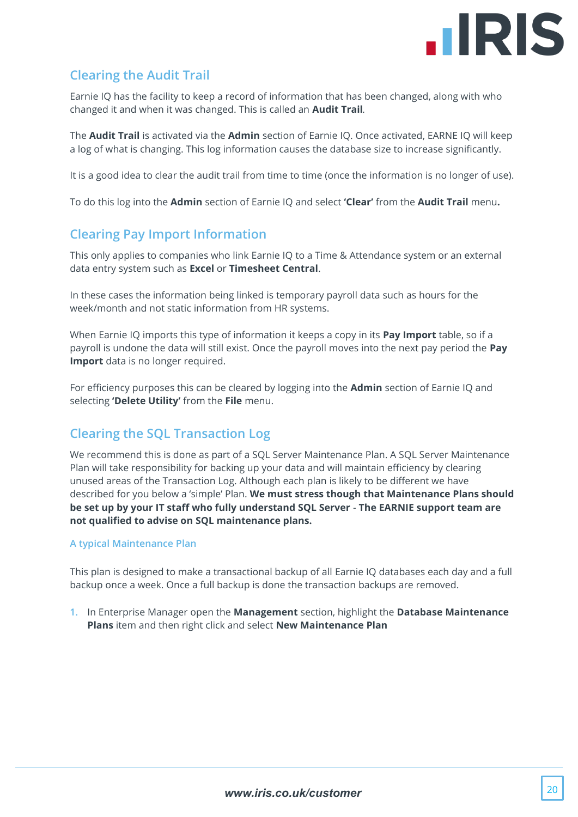

## <span id="page-19-0"></span>**Clearing the Audit Trail**

Earnie IQ has the facility to keep a record of information that has been changed, along with who changed it and when it was changed. This is called an **Audit Trail***.*

The **Audit Trail** is activated via the **Admin** section of Earnie IQ. Once activated, EARNE IQ will keep a log of what is changing. This log information causes the database size to increase significantly.

It is a good idea to clear the audit trail from time to time (once the information is no longer of use).

<span id="page-19-1"></span>To do this log into the **Admin** section of Earnie IQ and select **'Clear'** from the **Audit Trail** menu**.**

## **Clearing Pay Import Information**

This only applies to companies who link Earnie IQ to a Time & Attendance system or an external data entry system such as **Excel** or **Timesheet Central**.

In these cases the information being linked is temporary payroll data such as hours for the week/month and not static information from HR systems.

When Earnie IQ imports this type of information it keeps a copy in its **Pay Import** table, so if a payroll is undone the data will still exist. Once the payroll moves into the next pay period the **Pay Import** data is no longer required.

For efficiency purposes this can be cleared by logging into the **Admin** section of Earnie IQ and selecting **'Delete Utility'** from the **File** menu.

## <span id="page-19-2"></span>**Clearing the SQL Transaction Log**

We recommend this is done as part of a SQL Server Maintenance Plan. A SQL Server Maintenance Plan will take responsibility for backing up your data and will maintain efficiency by clearing unused areas of the Transaction Log. Although each plan is likely to be different we have described for you below a 'simple' Plan. **We must stress though that Maintenance Plans should be set up by your IT staff who fully understand SQL Server** - **The EARNIE support team are not qualified to advise on SQL maintenance plans.**

#### **A typical Maintenance Plan**

This plan is designed to make a transactional backup of all Earnie IQ databases each day and a full backup once a week. Once a full backup is done the transaction backups are removed.

**1.** In Enterprise Manager open the **Management** section, highlight the **Database Maintenance Plans** item and then right click and select **New Maintenance Plan**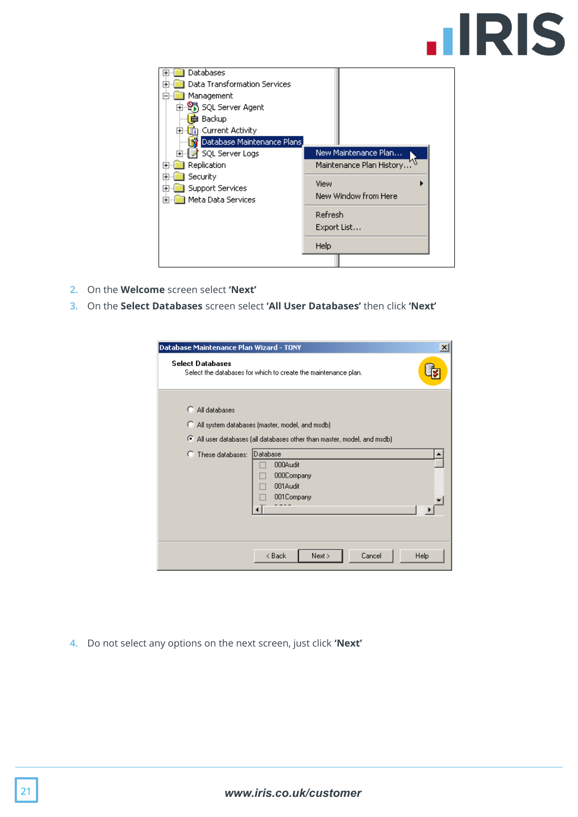## **IIRIS**

| Databases<br>Data Transformation Services<br>Management<br>白 SQL Server Agent<br>Backup<br>Current Activity<br>F⊡<br>Database Maintenance Plans<br>SQL Server Logs<br>$\overline{+}$ | New Maintenance Plan                                                                       |
|--------------------------------------------------------------------------------------------------------------------------------------------------------------------------------------|--------------------------------------------------------------------------------------------|
| Replication<br>ஈ<br>Security<br>$\overline{+}$<br>Support Services<br>∓<br>Meta Data Services<br>$\overline{+}$                                                                      | Maintenance Plan History<br>View<br>New Window from Here<br>Refresh<br>Export List<br>Help |

- **2.** On the **Welcome** screen select **'Next'**
- **3.** On the **Select Databases** screen select **'All User Databases'** then click **'Next'**

| Database Maintenance Plan Wizard - TONY                                                                                                                                                                                                   | $\vert x \vert$ |
|-------------------------------------------------------------------------------------------------------------------------------------------------------------------------------------------------------------------------------------------|-----------------|
| <b>Select Databases</b><br>Select the databases for which to create the maintenance plan.                                                                                                                                                 |                 |
| All databases<br>o<br>All system databases (master, model, and msdb)<br>o<br>All user databases (all databases other than master, model, and msdb)<br>Database<br>C These databases:<br>000Audit<br>000Company<br>001Audit<br>001 Company |                 |
| Cancel<br>< Back<br>Next >                                                                                                                                                                                                                | Help            |

**4.** Do not select any options on the next screen, just click **'Next'**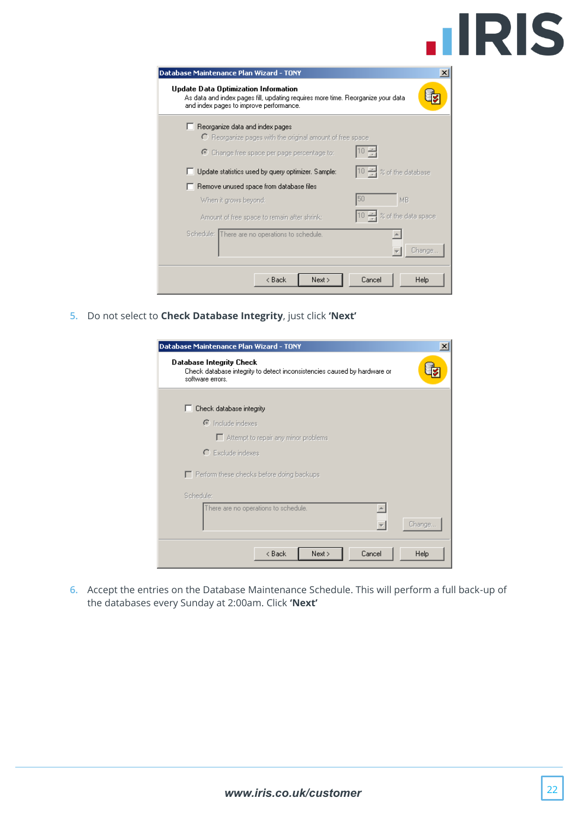| Database Maintenance Plan Wizard - TONY                                                                                                                             | $\mathsf{x}$ |
|---------------------------------------------------------------------------------------------------------------------------------------------------------------------|--------------|
| Update Data Optimization Information<br>As data and index pages fill, updating requires more time. Reorganize your data.<br>and index pages to improve performance. |              |
| Reorganize data and index pages                                                                                                                                     |              |
| $\Gamma$ Reorganize pages with the original amount of free space                                                                                                    |              |
| $\odot$ Change free space per page percentage to:                                                                                                                   |              |
| % of the database<br>Update statistics used by query optimizer. Sample:                                                                                             |              |
| Remove unused space from database files                                                                                                                             |              |
| 150<br>MB<br>When it grows beyond:                                                                                                                                  |              |
| of the data space<br>Amount of free space to remain after shrink:                                                                                                   |              |
| Schedule: There are no operations to schedule.                                                                                                                      |              |
|                                                                                                                                                                     | Change       |
| < Back<br>Cancel<br>Next >                                                                                                                                          | Help         |

**5.** Do not select to **Check Database Integrity**, just click **'Next'**

| Database Maintenance Plan Wizard - TONY                                                                                  | $\vert x \vert$ |
|--------------------------------------------------------------------------------------------------------------------------|-----------------|
| Database Integrity Check<br>Check database integrity to detect inconsistencies caused by hardware or<br>software errors. |                 |
| Check database integrity                                                                                                 |                 |
| C Include indexes                                                                                                        |                 |
| Attempt to repair any minor problems                                                                                     |                 |
| $\bigcap$ Exclude indexes                                                                                                |                 |
| Perform these checks before doing backups                                                                                |                 |
| Schedule:                                                                                                                |                 |
| There are no operations to schedule.                                                                                     | Change          |
| Cancel<br>< Back<br>Next >                                                                                               | Help            |

**6.** Accept the entries on the Database Maintenance Schedule. This will perform a full back-up of the databases every Sunday at 2:00am. Click **'Next'**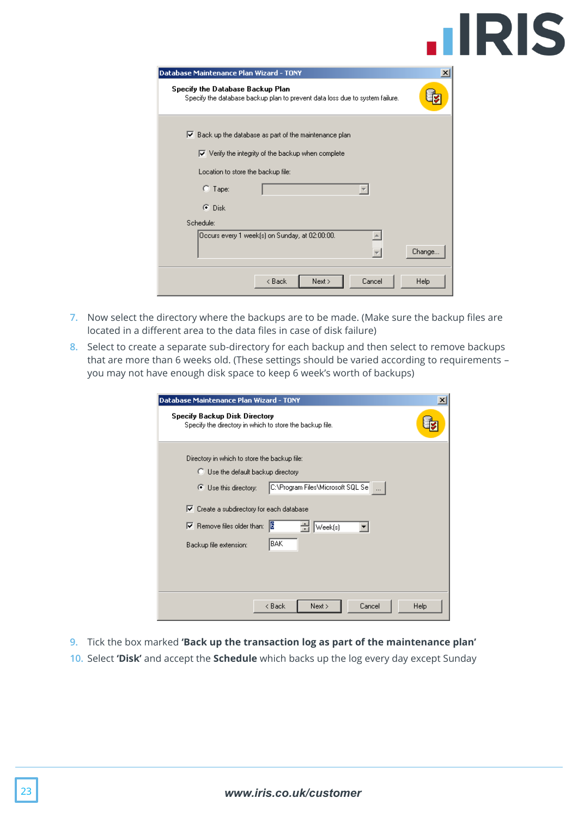# **.IRIS**

| Database Maintenance Plan Wizard - TONY                                                                                                   | ×      |
|-------------------------------------------------------------------------------------------------------------------------------------------|--------|
| Specify the Database Backup Plan<br>Specify the database backup plan to prevent data loss due to system failure.                          |        |
| $\triangleright$ Back up the database as part of the maintenance plan<br>$\triangledown$ Verify the integrity of the backup when complete |        |
| Location to store the backup file:                                                                                                        |        |
| $C$ Tape:                                                                                                                                 |        |
| $\bullet$ Disk                                                                                                                            |        |
| Schedule:                                                                                                                                 |        |
| Occurs every 1 week[s] on Sunday, at 02:00:00.                                                                                            | Change |
| < Back<br>Cancel<br>Next >                                                                                                                | Help   |

- **7.** Now select the directory where the backups are to be made. (Make sure the backup files are located in a different area to the data files in case of disk failure)
- **8.** Select to create a separate sub-directory for each backup and then select to remove backups that are more than 6 weeks old. (These settings should be varied according to requirements – you may not have enough disk space to keep 6 week's worth of backups)

| Database Maintenance Plan Wizard - TONY                                                                                                                                                                                                                                                                    | $\mathbf{x}$ |
|------------------------------------------------------------------------------------------------------------------------------------------------------------------------------------------------------------------------------------------------------------------------------------------------------------|--------------|
| <b>Specify Backup Disk Directory</b><br>Specify the directory in which to store the backup file.                                                                                                                                                                                                           |              |
| Directory in which to store the backup file:<br>C Use the default backup directory<br>C:\Program Files\Microsoft SQL Se<br>○ Use this directory:<br>$\triangledown$ Create a subdirectory for each database<br>16<br>$\triangleright$ Remove files older than:<br>Week(s)<br>BAK<br>Backup file extension: |              |
| < Back<br>Cancel<br>Next >                                                                                                                                                                                                                                                                                 | Help         |

- **9.** Tick the box marked **'Back up the transaction log as part of the maintenance plan'**
- **10.** Select **'Disk'** and accept the **Schedule** which backs up the log every day except Sunday